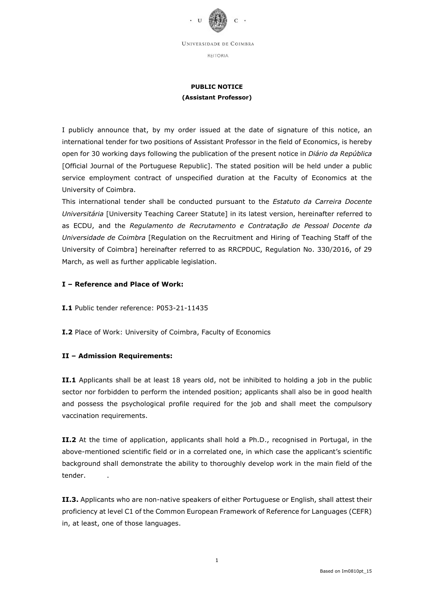

REITORIA

## PUBLIC NOTICE (Assistant Professor)

I publicly announce that, by my order issued at the date of signature of this notice, an international tender for two positions of Assistant Professor in the field of Economics, is hereby open for 30 working days following the publication of the present notice in Diário da República [Official Journal of the Portuguese Republic]. The stated position will be held under a public service employment contract of unspecified duration at the Faculty of Economics at the University of Coimbra.

This international tender shall be conducted pursuant to the Estatuto da Carreira Docente Universitária [University Teaching Career Statute] in its latest version, hereinafter referred to as ECDU, and the Regulamento de Recrutamento e Contratação de Pessoal Docente da Universidade de Coimbra [Regulation on the Recruitment and Hiring of Teaching Staff of the University of Coimbra] hereinafter referred to as RRCPDUC, Regulation No. 330/2016, of 29 March, as well as further applicable legislation.

## I – Reference and Place of Work:

I.1 Public tender reference: P053-21-11435

I.2 Place of Work: University of Coimbra, Faculty of Economics

## II – Admission Requirements:

II.1 Applicants shall be at least 18 years old, not be inhibited to holding a job in the public sector nor forbidden to perform the intended position; applicants shall also be in good health and possess the psychological profile required for the job and shall meet the compulsory vaccination requirements.

II.2 At the time of application, applicants shall hold a Ph.D., recognised in Portugal, in the above-mentioned scientific field or in a correlated one, in which case the applicant's scientific background shall demonstrate the ability to thoroughly develop work in the main field of the tender.

II.3. Applicants who are non-native speakers of either Portuguese or English, shall attest their proficiency at level C1 of the Common European Framework of Reference for Languages (CEFR) in, at least, one of those languages.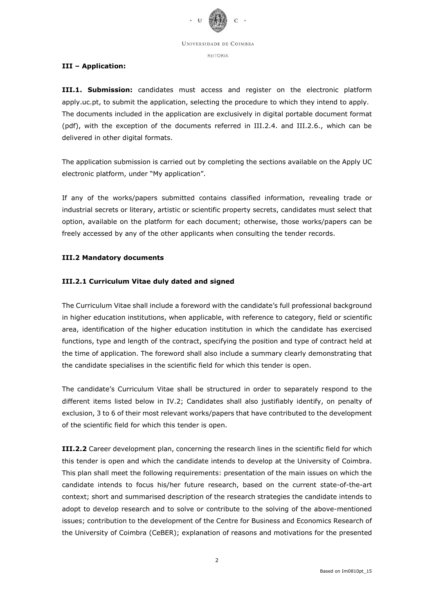

REITORIA

## III – Application:

**III.1. Submission:** candidates must access and register on the electronic platform apply.uc.pt, to submit the application, selecting the procedure to which they intend to apply. The documents included in the application are exclusively in digital portable document format (pdf), with the exception of the documents referred in III.2.4. and III.2.6., which can be delivered in other digital formats.

The application submission is carried out by completing the sections available on the Apply UC electronic platform, under "My application".

If any of the works/papers submitted contains classified information, revealing trade or industrial secrets or literary, artistic or scientific property secrets, candidates must select that option, available on the platform for each document; otherwise, those works/papers can be freely accessed by any of the other applicants when consulting the tender records.

## III.2 Mandatory documents

## III.2.1 Curriculum Vitae duly dated and signed

The Curriculum Vitae shall include a foreword with the candidate's full professional background in higher education institutions, when applicable, with reference to category, field or scientific area, identification of the higher education institution in which the candidate has exercised functions, type and length of the contract, specifying the position and type of contract held at the time of application. The foreword shall also include a summary clearly demonstrating that the candidate specialises in the scientific field for which this tender is open.

The candidate's Curriculum Vitae shall be structured in order to separately respond to the different items listed below in IV.2; Candidates shall also justifiably identify, on penalty of exclusion, 3 to 6 of their most relevant works/papers that have contributed to the development of the scientific field for which this tender is open.

III.2.2 Career development plan, concerning the research lines in the scientific field for which this tender is open and which the candidate intends to develop at the University of Coimbra. This plan shall meet the following requirements: presentation of the main issues on which the candidate intends to focus his/her future research, based on the current state-of-the-art context; short and summarised description of the research strategies the candidate intends to adopt to develop research and to solve or contribute to the solving of the above-mentioned issues; contribution to the development of the Centre for Business and Economics Research of the University of Coimbra (CeBER); explanation of reasons and motivations for the presented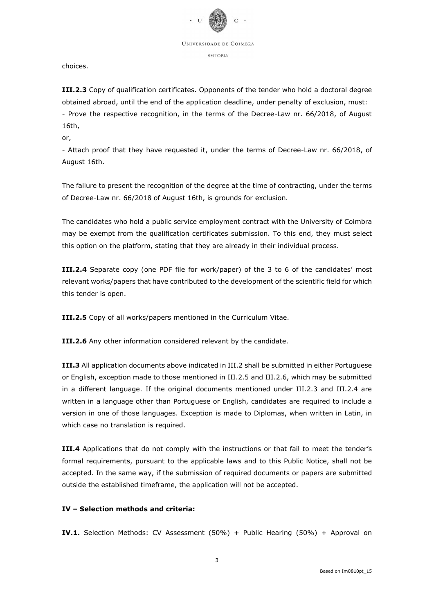

REITORIA

choices.

III.2.3 Copy of qualification certificates. Opponents of the tender who hold a doctoral degree obtained abroad, until the end of the application deadline, under penalty of exclusion, must: - Prove the respective recognition, in the terms of the Decree-Law nr. 66/2018, of August 16th,

or,

- Attach proof that they have requested it, under the terms of Decree-Law nr. 66/2018, of August 16th.

The failure to present the recognition of the degree at the time of contracting, under the terms of Decree-Law nr. 66/2018 of August 16th, is grounds for exclusion.

The candidates who hold a public service employment contract with the University of Coimbra may be exempt from the qualification certificates submission. To this end, they must select this option on the platform, stating that they are already in their individual process.

III.2.4 Separate copy (one PDF file for work/paper) of the 3 to 6 of the candidates' most relevant works/papers that have contributed to the development of the scientific field for which this tender is open.

III.2.5 Copy of all works/papers mentioned in the Curriculum Vitae.

**III.2.6** Any other information considered relevant by the candidate.

**III.3** All application documents above indicated in III.2 shall be submitted in either Portuguese or English, exception made to those mentioned in III.2.5 and III.2.6, which may be submitted in a different language. If the original documents mentioned under III.2.3 and III.2.4 are written in a language other than Portuguese or English, candidates are required to include a version in one of those languages. Exception is made to Diplomas, when written in Latin, in which case no translation is required.

III.4 Applications that do not comply with the instructions or that fail to meet the tender's formal requirements, pursuant to the applicable laws and to this Public Notice, shall not be accepted. In the same way, if the submission of required documents or papers are submitted outside the established timeframe, the application will not be accepted.

# IV – Selection methods and criteria:

IV.1. Selection Methods: CV Assessment (50%) + Public Hearing (50%) + Approval on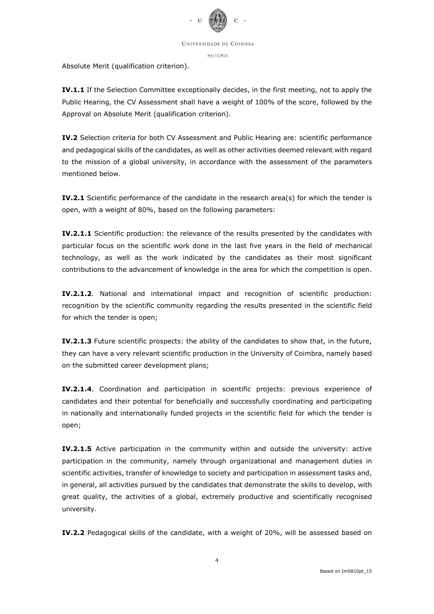

REITORIA

Absolute Merit (qualification criterion).

IV.1.1 If the Selection Committee exceptionally decides, in the first meeting, not to apply the Public Hearing, the CV Assessment shall have a weight of 100% of the score, followed by the Approval on Absolute Merit (qualification criterion).

IV.2 Selection criteria for both CV Assessment and Public Hearing are: scientific performance and pedagogical skills of the candidates, as well as other activities deemed relevant with regard to the mission of a global university, in accordance with the assessment of the parameters mentioned below.

IV.2.1 Scientific performance of the candidate in the research area(s) for which the tender is open, with a weight of 80%, based on the following parameters:

IV.2.1.1 Scientific production: the relevance of the results presented by the candidates with particular focus on the scientific work done in the last five years in the field of mechanical technology, as well as the work indicated by the candidates as their most significant contributions to the advancement of knowledge in the area for which the competition is open.

IV.2.1.2. National and international impact and recognition of scientific production: recognition by the scientific community regarding the results presented in the scientific field for which the tender is open;

IV.2.1.3 Future scientific prospects: the ability of the candidates to show that, in the future, they can have a very relevant scientific production in the University of Coimbra, namely based on the submitted career development plans;

IV.2.1.4. Coordination and participation in scientific projects: previous experience of candidates and their potential for beneficially and successfully coordinating and participating in nationally and internationally funded projects in the scientific field for which the tender is open;

IV.2.1.5 Active participation in the community within and outside the university: active participation in the community, namely through organizational and management duties in scientific activities, transfer of knowledge to society and participation in assessment tasks and, in general, all activities pursued by the candidates that demonstrate the skills to develop, with great quality, the activities of a global, extremely productive and scientifically recognised university.

IV.2.2 Pedagogical skills of the candidate, with a weight of 20%, will be assessed based on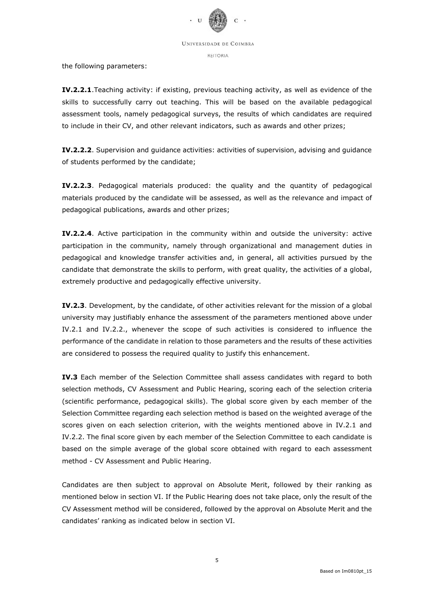

REITORIA

the following parameters:

IV.2.2.1.Teaching activity: if existing, previous teaching activity, as well as evidence of the skills to successfully carry out teaching. This will be based on the available pedagogical assessment tools, namely pedagogical surveys, the results of which candidates are required to include in their CV, and other relevant indicators, such as awards and other prizes;

IV.2.2.2. Supervision and guidance activities: activities of supervision, advising and guidance of students performed by the candidate;

IV.2.2.3. Pedagogical materials produced: the quality and the quantity of pedagogical materials produced by the candidate will be assessed, as well as the relevance and impact of pedagogical publications, awards and other prizes;

IV.2.2.4. Active participation in the community within and outside the university: active participation in the community, namely through organizational and management duties in pedagogical and knowledge transfer activities and, in general, all activities pursued by the candidate that demonstrate the skills to perform, with great quality, the activities of a global, extremely productive and pedagogically effective university.

IV.2.3. Development, by the candidate, of other activities relevant for the mission of a global university may justifiably enhance the assessment of the parameters mentioned above under IV.2.1 and IV.2.2., whenever the scope of such activities is considered to influence the performance of the candidate in relation to those parameters and the results of these activities are considered to possess the required quality to justify this enhancement.

IV.3 Each member of the Selection Committee shall assess candidates with regard to both selection methods, CV Assessment and Public Hearing, scoring each of the selection criteria (scientific performance, pedagogical skills). The global score given by each member of the Selection Committee regarding each selection method is based on the weighted average of the scores given on each selection criterion, with the weights mentioned above in IV.2.1 and IV.2.2. The final score given by each member of the Selection Committee to each candidate is based on the simple average of the global score obtained with regard to each assessment method - CV Assessment and Public Hearing.

Candidates are then subject to approval on Absolute Merit, followed by their ranking as mentioned below in section VI. If the Public Hearing does not take place, only the result of the CV Assessment method will be considered, followed by the approval on Absolute Merit and the candidates' ranking as indicated below in section VI.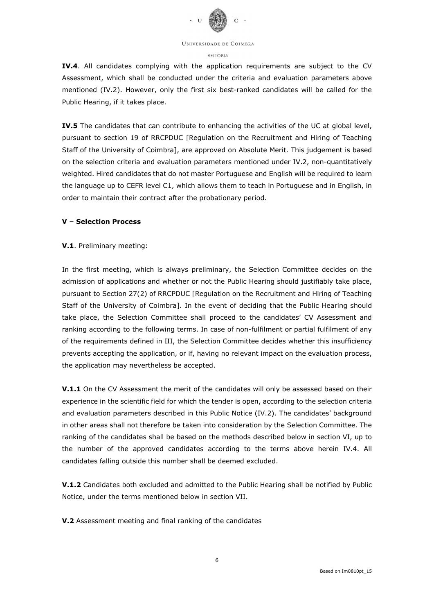

#### REITORIA

IV.4. All candidates complying with the application requirements are subject to the CV Assessment, which shall be conducted under the criteria and evaluation parameters above mentioned (IV.2). However, only the first six best-ranked candidates will be called for the Public Hearing, if it takes place.

IV.5 The candidates that can contribute to enhancing the activities of the UC at global level, pursuant to section 19 of RRCPDUC [Regulation on the Recruitment and Hiring of Teaching Staff of the University of Coimbra], are approved on Absolute Merit. This judgement is based on the selection criteria and evaluation parameters mentioned under IV.2, non-quantitatively weighted. Hired candidates that do not master Portuguese and English will be required to learn the language up to CEFR level C1, which allows them to teach in Portuguese and in English, in order to maintain their contract after the probationary period.

### V – Selection Process

### V.1. Preliminary meeting:

In the first meeting, which is always preliminary, the Selection Committee decides on the admission of applications and whether or not the Public Hearing should justifiably take place, pursuant to Section 27(2) of RRCPDUC [Regulation on the Recruitment and Hiring of Teaching Staff of the University of Coimbra]. In the event of deciding that the Public Hearing should take place, the Selection Committee shall proceed to the candidates' CV Assessment and ranking according to the following terms. In case of non-fulfilment or partial fulfilment of any of the requirements defined in III, the Selection Committee decides whether this insufficiency prevents accepting the application, or if, having no relevant impact on the evaluation process, the application may nevertheless be accepted.

V.1.1 On the CV Assessment the merit of the candidates will only be assessed based on their experience in the scientific field for which the tender is open, according to the selection criteria and evaluation parameters described in this Public Notice (IV.2). The candidates' background in other areas shall not therefore be taken into consideration by the Selection Committee. The ranking of the candidates shall be based on the methods described below in section VI, up to the number of the approved candidates according to the terms above herein IV.4. All candidates falling outside this number shall be deemed excluded.

V.1.2 Candidates both excluded and admitted to the Public Hearing shall be notified by Public Notice, under the terms mentioned below in section VII.

V.2 Assessment meeting and final ranking of the candidates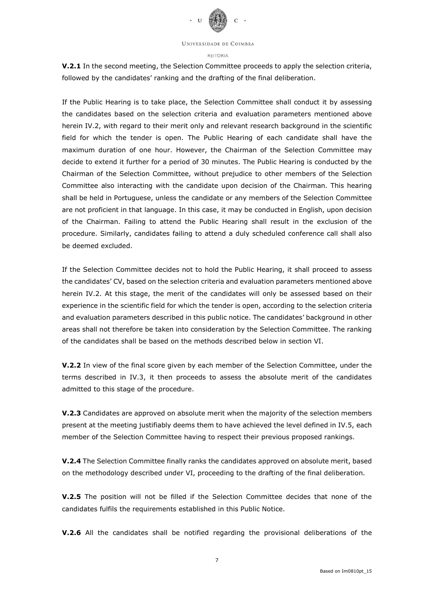

#### REITORIA

V.2.1 In the second meeting, the Selection Committee proceeds to apply the selection criteria, followed by the candidates' ranking and the drafting of the final deliberation.

If the Public Hearing is to take place, the Selection Committee shall conduct it by assessing the candidates based on the selection criteria and evaluation parameters mentioned above herein IV.2, with regard to their merit only and relevant research background in the scientific field for which the tender is open. The Public Hearing of each candidate shall have the maximum duration of one hour. However, the Chairman of the Selection Committee may decide to extend it further for a period of 30 minutes. The Public Hearing is conducted by the Chairman of the Selection Committee, without prejudice to other members of the Selection Committee also interacting with the candidate upon decision of the Chairman. This hearing shall be held in Portuguese, unless the candidate or any members of the Selection Committee are not proficient in that language. In this case, it may be conducted in English, upon decision of the Chairman. Failing to attend the Public Hearing shall result in the exclusion of the procedure. Similarly, candidates failing to attend a duly scheduled conference call shall also be deemed excluded.

If the Selection Committee decides not to hold the Public Hearing, it shall proceed to assess the candidates' CV, based on the selection criteria and evaluation parameters mentioned above herein IV.2. At this stage, the merit of the candidates will only be assessed based on their experience in the scientific field for which the tender is open, according to the selection criteria and evaluation parameters described in this public notice. The candidates' background in other areas shall not therefore be taken into consideration by the Selection Committee. The ranking of the candidates shall be based on the methods described below in section VI.

**V.2.2** In view of the final score given by each member of the Selection Committee, under the terms described in IV.3, it then proceeds to assess the absolute merit of the candidates admitted to this stage of the procedure.

V.2.3 Candidates are approved on absolute merit when the majority of the selection members present at the meeting justifiably deems them to have achieved the level defined in IV.5, each member of the Selection Committee having to respect their previous proposed rankings.

V.2.4 The Selection Committee finally ranks the candidates approved on absolute merit, based on the methodology described under VI, proceeding to the drafting of the final deliberation.

V.2.5 The position will not be filled if the Selection Committee decides that none of the candidates fulfils the requirements established in this Public Notice.

V.2.6 All the candidates shall be notified regarding the provisional deliberations of the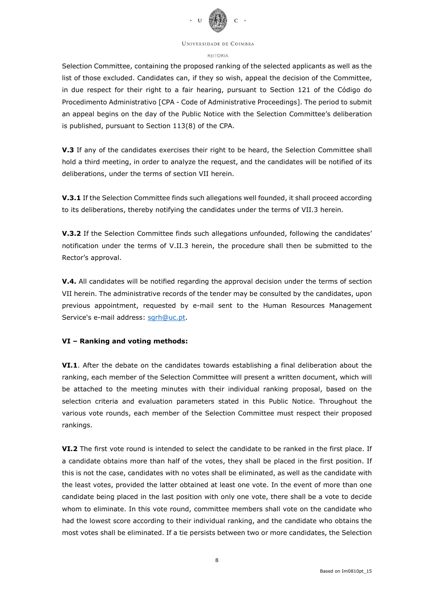

#### REITORIA

Selection Committee, containing the proposed ranking of the selected applicants as well as the list of those excluded. Candidates can, if they so wish, appeal the decision of the Committee, in due respect for their right to a fair hearing, pursuant to Section 121 of the Código do Procedimento Administrativo [CPA - Code of Administrative Proceedings]. The period to submit an appeal begins on the day of the Public Notice with the Selection Committee's deliberation is published, pursuant to Section 113(8) of the CPA.

V.3 If any of the candidates exercises their right to be heard, the Selection Committee shall hold a third meeting, in order to analyze the request, and the candidates will be notified of its deliberations, under the terms of section VII herein.

V.3.1 If the Selection Committee finds such allegations well founded, it shall proceed according to its deliberations, thereby notifying the candidates under the terms of VII.3 herein.

V.3.2 If the Selection Committee finds such allegations unfounded, following the candidates' notification under the terms of V.II.3 herein, the procedure shall then be submitted to the Rector's approval.

V.4. All candidates will be notified regarding the approval decision under the terms of section VII herein. The administrative records of the tender may be consulted by the candidates, upon previous appointment, requested by e-mail sent to the Human Resources Management Service's e-mail address: sgrh@uc.pt.

### VI – Ranking and voting methods:

VI.1. After the debate on the candidates towards establishing a final deliberation about the ranking, each member of the Selection Committee will present a written document, which will be attached to the meeting minutes with their individual ranking proposal, based on the selection criteria and evaluation parameters stated in this Public Notice. Throughout the various vote rounds, each member of the Selection Committee must respect their proposed rankings.

VI.2 The first vote round is intended to select the candidate to be ranked in the first place. If a candidate obtains more than half of the votes, they shall be placed in the first position. If this is not the case, candidates with no votes shall be eliminated, as well as the candidate with the least votes, provided the latter obtained at least one vote. In the event of more than one candidate being placed in the last position with only one vote, there shall be a vote to decide whom to eliminate. In this vote round, committee members shall vote on the candidate who had the lowest score according to their individual ranking, and the candidate who obtains the most votes shall be eliminated. If a tie persists between two or more candidates, the Selection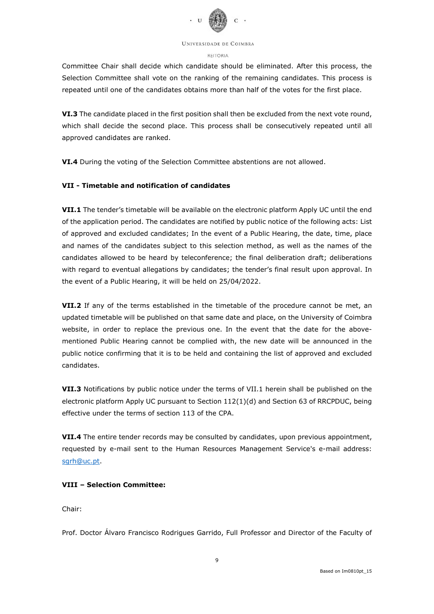

#### REITORIA

Committee Chair shall decide which candidate should be eliminated. After this process, the Selection Committee shall vote on the ranking of the remaining candidates. This process is repeated until one of the candidates obtains more than half of the votes for the first place.

VI.3 The candidate placed in the first position shall then be excluded from the next vote round, which shall decide the second place. This process shall be consecutively repeated until all approved candidates are ranked.

VI.4 During the voting of the Selection Committee abstentions are not allowed.

## VII - Timetable and notification of candidates

VII.1 The tender's timetable will be available on the electronic platform Apply UC until the end of the application period. The candidates are notified by public notice of the following acts: List of approved and excluded candidates; In the event of a Public Hearing, the date, time, place and names of the candidates subject to this selection method, as well as the names of the candidates allowed to be heard by teleconference; the final deliberation draft; deliberations with regard to eventual allegations by candidates; the tender's final result upon approval. In the event of a Public Hearing, it will be held on 25/04/2022.

VII.2 If any of the terms established in the timetable of the procedure cannot be met, an updated timetable will be published on that same date and place, on the University of Coimbra website, in order to replace the previous one. In the event that the date for the abovementioned Public Hearing cannot be complied with, the new date will be announced in the public notice confirming that it is to be held and containing the list of approved and excluded candidates.

VII.3 Notifications by public notice under the terms of VII.1 herein shall be published on the electronic platform Apply UC pursuant to Section 112(1)(d) and Section 63 of RRCPDUC, being effective under the terms of section 113 of the CPA.

VII.4 The entire tender records may be consulted by candidates, upon previous appointment, requested by e-mail sent to the Human Resources Management Service's e-mail address: sgrh@uc.pt.

## VIII – Selection Committee:

Chair:

Prof. Doctor Álvaro Francisco Rodrigues Garrido, Full Professor and Director of the Faculty of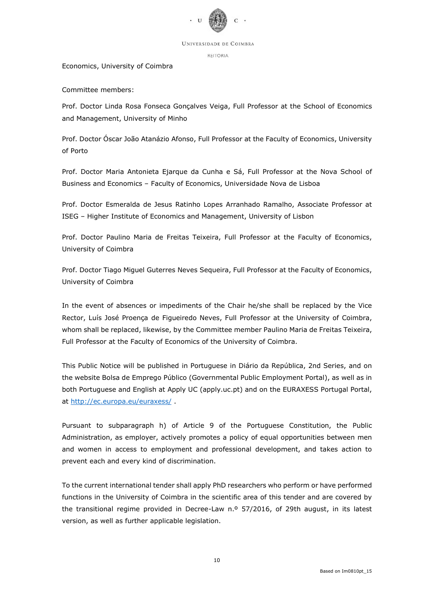

REITORIA

### Economics, University of Coimbra

Committee members:

Prof. Doctor Linda Rosa Fonseca Gonçalves Veiga, Full Professor at the School of Economics and Management, University of Minho

Prof. Doctor Óscar João Atanázio Afonso, Full Professor at the Faculty of Economics, University of Porto

Prof. Doctor Maria Antonieta Ejarque da Cunha e Sá, Full Professor at the Nova School of Business and Economics – Faculty of Economics, Universidade Nova de Lisboa

Prof. Doctor Esmeralda de Jesus Ratinho Lopes Arranhado Ramalho, Associate Professor at ISEG – Higher Institute of Economics and Management, University of Lisbon

Prof. Doctor Paulino Maria de Freitas Teixeira, Full Professor at the Faculty of Economics, University of Coimbra

Prof. Doctor Tiago Miguel Guterres Neves Sequeira, Full Professor at the Faculty of Economics, University of Coimbra

In the event of absences or impediments of the Chair he/she shall be replaced by the Vice Rector, Luís José Proença de Figueiredo Neves, Full Professor at the University of Coimbra, whom shall be replaced, likewise, by the Committee member Paulino Maria de Freitas Teixeira, Full Professor at the Faculty of Economics of the University of Coimbra.

This Public Notice will be published in Portuguese in Diário da República, 2nd Series, and on the website Bolsa de Emprego Público (Governmental Public Employment Portal), as well as in both Portuguese and English at Apply UC (apply.uc.pt) and on the EURAXESS Portugal Portal, at http://ec.europa.eu/euraxess/ .

Pursuant to subparagraph h) of Article 9 of the Portuguese Constitution, the Public Administration, as employer, actively promotes a policy of equal opportunities between men and women in access to employment and professional development, and takes action to prevent each and every kind of discrimination.

To the current international tender shall apply PhD researchers who perform or have performed functions in the University of Coimbra in the scientific area of this tender and are covered by the transitional regime provided in Decree-Law n.º 57/2016, of 29th august, in its latest version, as well as further applicable legislation.